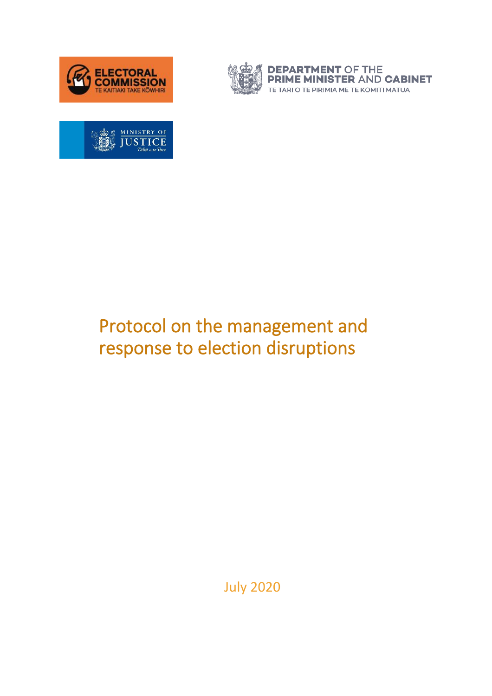



**DEPARTMENT OF THE<br>PRIME MINISTER AND CABINET** TE TARI O TE PIRIMIA ME TE KOMITI MATUA



# Protocol on the management and response to election disruptions

July 2020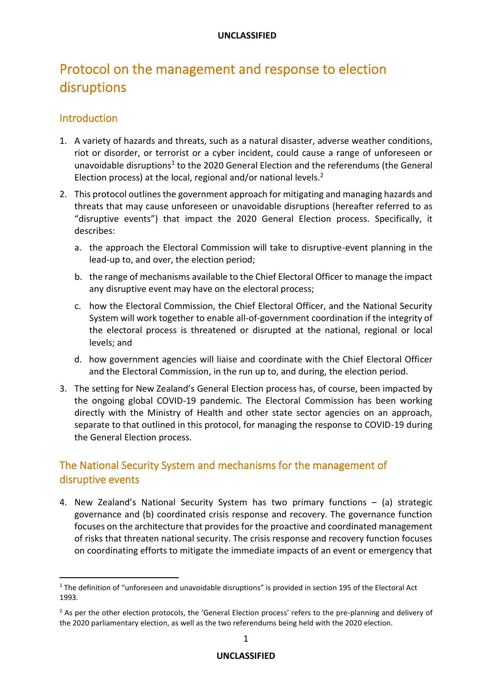# Protocol on the management and response to election disruptions

## **Introduction**

- 1. A variety of hazards and threats, such as a natural disaster, adverse weather conditions, riot or disorder, or terrorist or a cyber incident, could cause a range of unforeseen or unavoidable disruptions<sup>1</sup> to the 2020 General Election and the referendums (the General Election process) at the local, regional and/or national levels.<sup>2</sup>
- 2. This protocol outlines the government approach for mitigating and managing hazards and threats that may cause unforeseen or unavoidable disruptions (hereafter referred to as "disruptive events") that impact the 2020 General Election process. Specifically, it describes:
	- a. the approach the Electoral Commission will take to disruptive-event planning in the lead-up to, and over, the election period;
	- b. the range of mechanisms available to the Chief Electoral Officer to manage the impact any disruptive event may have on the electoral process;
	- c. how the Electoral Commission, the Chief Electoral Officer, and the National Security System will work together to enable all-of-government coordination if the integrity of the electoral process is threatened or disrupted at the national, regional or local levels; and
	- d. how government agencies will liaise and coordinate with the Chief Electoral Officer and the Electoral Commission, in the run up to, and during, the election period.
- 3. The setting for New Zealand's General Election process has, of course, been impacted by the ongoing global COVID-19 pandemic. The Electoral Commission has been working directly with the Ministry of Health and other state sector agencies on an approach, separate to that outlined in this protocol, for managing the response to COVID-19 during the General Election process.

# The National Security System and mechanisms for the management of disruptive events

4. New Zealand's National Security System has two primary functions – (a) strategic governance and (b) coordinated crisis response and recovery. The governance function focuses on the architecture that provides for the proactive and coordinated management of risks that threaten national security. The crisis response and recovery function focuses on coordinating efforts to mitigate the immediate impacts of an event or emergency that

<sup>&</sup>lt;sup>1</sup> The definition of "unforeseen and unavoidable disruptions" is provided in section 195 of the Electoral Act 1993.

<sup>&</sup>lt;sup>2</sup> As per the other election protocols, the 'General Election process' refers to the pre-planning and delivery of the 2020 parliamentary election, as well as the two referendums being held with the 2020 election.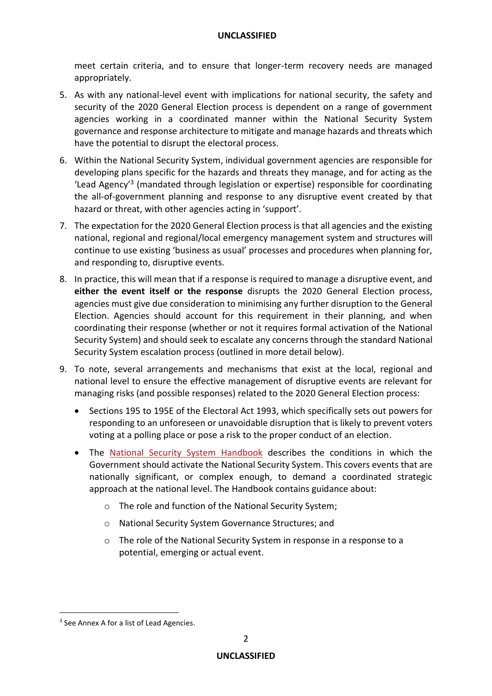meet certain criteria, and to ensure that longer-term recovery needs are managed appropriately.

- 5. As with any national-level event with implications for national security, the safety and security of the 2020 General Election process is dependent on a range of government agencies working in a coordinated manner within the National Security System governance and response architecture to mitigate and manage hazards and threats which have the potential to disrupt the electoral process.
- 6. Within the National Security System, individual government agencies are responsible for developing plans specific for the hazards and threats they manage, and for acting as the 'Lead Agency'<sup>3</sup> (mandated through legislation or expertise) responsible for coordinating the all-of-government planning and response to any disruptive event created by that hazard or threat, with other agencies acting in 'support'.
- 7. The expectation for the 2020 General Election process is that all agencies and the existing national, regional and regional/local emergency management system and structures will continue to use existing 'business as usual' processes and procedures when planning for, and responding to, disruptive events.
- 8. In practice, this will mean that if a response is required to manage a disruptive event, and **either the event itself or the response** disrupts the 2020 General Election process, agencies must give due consideration to minimising any further disruption to the General Election. Agencies should account for this requirement in their planning, and when coordinating their response (whether or not it requires formal activation of the National Security System) and should seek to escalate any concerns through the standard National Security System escalation process (outlined in more detail below).
- 9. To note, several arrangements and mechanisms that exist at the local, regional and national level to ensure the effective management of disruptive events are relevant for managing risks (and possible responses) related to the 2020 General Election process:
	- Sections 195 to 195E of the Electoral Act 1993, which specifically sets out powers for responding to an unforeseen or unavoidable disruption that is likely to prevent voters voting at a polling place or pose a risk to the proper conduct of an election.
	- The [National Security](https://dpmc.govt.nz/sites/default/files/2017-03/dpmc-nss-handbook-aug-2016.pdf) System Handbook describes the conditions in which the Government should activate the National Security System. This covers events that are nationally significant, or complex enough, to demand a coordinated strategic approach at the national level. The Handbook contains guidance about:
		- o The role and function of the National Security System;
		- o National Security System Governance Structures; and
		- o The role of the National Security System in response in a response to a potential, emerging or actual event.

<sup>&</sup>lt;sup>3</sup> See Annex A for a list of Lead Agencies.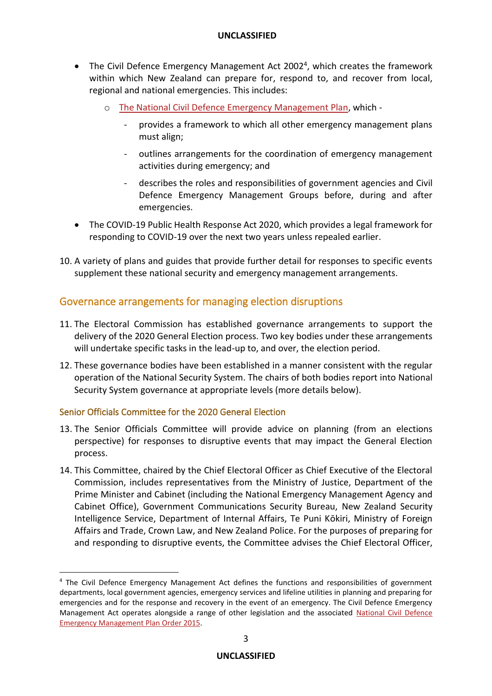- The Civil Defence Emergency Management Act 2002<sup>4</sup>, which creates the framework within which New Zealand can prepare for, respond to, and recover from local, regional and national emergencies. This includes:
	- o [The National Civil Defence Emergency Management Plan,](https://www.civildefence.govt.nz/cdem-sector/plans-and-strategies/national-civil-defence-emergency-management-plan/) which
		- provides a framework to which all other emergency management plans must align;
		- outlines arrangements for the coordination of emergency management activities during emergency; and
		- describes the roles and responsibilities of government agencies and Civil Defence Emergency Management Groups before, during and after emergencies.
- The COVID-19 Public Health Response Act 2020, which provides a legal framework for responding to COVID-19 over the next two years unless repealed earlier.
- 10. A variety of plans and guides that provide further detail for responses to specific events supplement these national security and emergency management arrangements.

### Governance arrangements for managing election disruptions

- 11. The Electoral Commission has established governance arrangements to support the delivery of the 2020 General Election process. Two key bodies under these arrangements will undertake specific tasks in the lead-up to, and over, the election period.
- 12. These governance bodies have been established in a manner consistent with the regular operation of the National Security System. The chairs of both bodies report into National Security System governance at appropriate levels (more details below).

#### Senior Officials Committee for the 2020 General Election

- 13. The Senior Officials Committee will provide advice on planning (from an elections perspective) for responses to disruptive events that may impact the General Election process.
- 14. This Committee, chaired by the Chief Electoral Officer as Chief Executive of the Electoral Commission, includes representatives from the Ministry of Justice, Department of the Prime Minister and Cabinet (including the National Emergency Management Agency and Cabinet Office), Government Communications Security Bureau, New Zealand Security Intelligence Service, Department of Internal Affairs, Te Puni Kōkiri, Ministry of Foreign Affairs and Trade, Crown Law, and New Zealand Police. For the purposes of preparing for and responding to disruptive events, the Committee advises the Chief Electoral Officer,

<sup>4</sup> The Civil Defence Emergency Management Act defines the functions and responsibilities of government departments, local government agencies, emergency services and lifeline utilities in planning and preparing for emergencies and for the response and recovery in the event of an emergency. The Civil Defence Emergency Management Act operates alongside a range of other legislation and the associated National Civil Defence [Emergency Management Plan Order 2015.](http://www.legislation.govt.nz/regulation/public/2015/0140/latest/DLM6485804.html)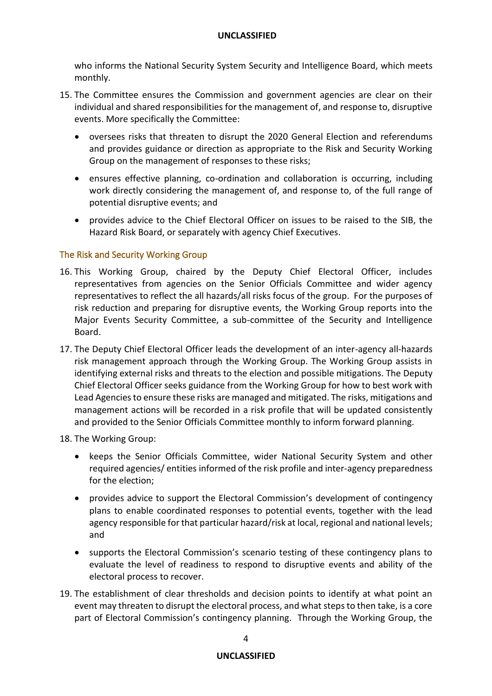who informs the National Security System Security and Intelligence Board, which meets monthly.

- 15. The Committee ensures the Commission and government agencies are clear on their individual and shared responsibilities for the management of, and response to, disruptive events. More specifically the Committee:
	- oversees risks that threaten to disrupt the 2020 General Election and referendums and provides guidance or direction as appropriate to the Risk and Security Working Group on the management of responses to these risks;
	- ensures effective planning, co-ordination and collaboration is occurring, including work directly considering the management of, and response to, of the full range of potential disruptive events; and
	- provides advice to the Chief Electoral Officer on issues to be raised to the SIB, the Hazard Risk Board, or separately with agency Chief Executives.

#### The Risk and Security Working Group

- 16. This Working Group, chaired by the Deputy Chief Electoral Officer, includes representatives from agencies on the Senior Officials Committee and wider agency representatives to reflect the all hazards/all risks focus of the group. For the purposes of risk reduction and preparing for disruptive events, the Working Group reports into the Major Events Security Committee, a sub-committee of the Security and Intelligence Board.
- 17. The Deputy Chief Electoral Officer leads the development of an inter-agency all-hazards risk management approach through the Working Group. The Working Group assists in identifying external risks and threats to the election and possible mitigations. The Deputy Chief Electoral Officer seeks guidance from the Working Group for how to best work with Lead Agencies to ensure these risks are managed and mitigated. The risks, mitigations and management actions will be recorded in a risk profile that will be updated consistently and provided to the Senior Officials Committee monthly to inform forward planning.

18. The Working Group:

- keeps the Senior Officials Committee, wider National Security System and other required agencies/ entities informed of the risk profile and inter-agency preparedness for the election;
- provides advice to support the Electoral Commission's development of contingency plans to enable coordinated responses to potential events, together with the lead agency responsible for that particular hazard/risk at local, regional and national levels; and
- supports the Electoral Commission's scenario testing of these contingency plans to evaluate the level of readiness to respond to disruptive events and ability of the electoral process to recover.
- 19. The establishment of clear thresholds and decision points to identify at what point an event may threaten to disrupt the electoral process, and what steps to then take, is a core part of Electoral Commission's contingency planning. Through the Working Group, the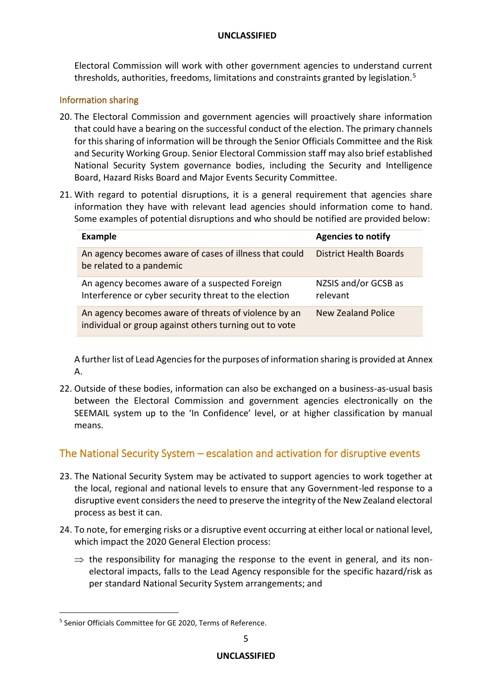Electoral Commission will work with other government agencies to understand current thresholds, authorities, freedoms, limitations and constraints granted by legislation.<sup>5</sup>

#### Information sharing

- 20. The Electoral Commission and government agencies will proactively share information that could have a bearing on the successful conduct of the election. The primary channels for this sharing of information will be through the Senior Officials Committee and the Risk and Security Working Group. Senior Electoral Commission staff may also brief established National Security System governance bodies, including the Security and Intelligence Board, Hazard Risks Board and Major Events Security Committee.
- 21. With regard to potential disruptions, it is a general requirement that agencies share information they have with relevant lead agencies should information come to hand. Some examples of potential disruptions and who should be notified are provided below:

| <b>Example</b>                                                                                                 | <b>Agencies to notify</b>        |
|----------------------------------------------------------------------------------------------------------------|----------------------------------|
| An agency becomes aware of cases of illness that could<br>be related to a pandemic                             | <b>District Health Boards</b>    |
| An agency becomes aware of a suspected Foreign<br>Interference or cyber security threat to the election        | NZSIS and/or GCSB as<br>relevant |
| An agency becomes aware of threats of violence by an<br>individual or group against others turning out to vote | <b>New Zealand Police</b>        |

A further list of Lead Agencies for the purposes of information sharing is provided at Annex A.

22. Outside of these bodies, information can also be exchanged on a business-as-usual basis between the Electoral Commission and government agencies electronically on the SEEMAIL system up to the 'In Confidence' level, or at higher classification by manual means.

# The National Security System – escalation and activation for disruptive events

- 23. The National Security System may be activated to support agencies to work together at the local, regional and national levels to ensure that any Government-led response to a disruptive event considers the need to preserve the integrity of the New Zealand electoral process as best it can.
- 24. To note, for emerging risks or a disruptive event occurring at either local or national level, which impact the 2020 General Election process:
	- $\Rightarrow$  the responsibility for managing the response to the event in general, and its nonelectoral impacts, falls to the Lead Agency responsible for the specific hazard/risk as per standard National Security System arrangements; and

<sup>&</sup>lt;sup>5</sup> Senior Officials Committee for GE 2020, Terms of Reference.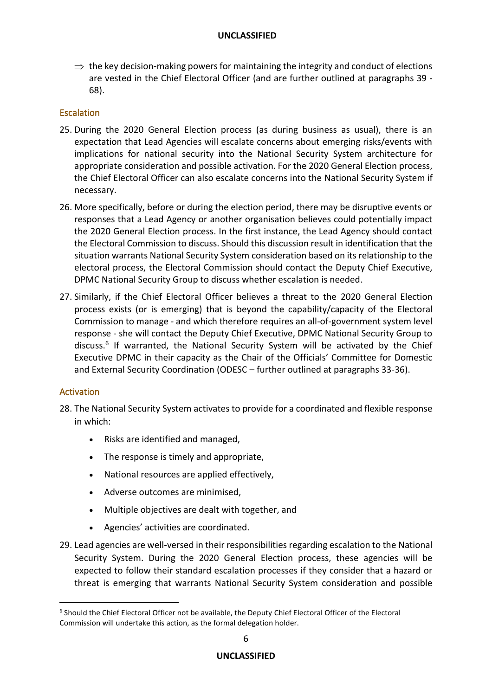$\Rightarrow$  the key decision-making powers for maintaining the integrity and conduct of elections are vested in the Chief Electoral Officer (and are further outlined at paragraphs 39 - 68).

#### **Escalation**

- 25. During the 2020 General Election process (as during business as usual), there is an expectation that Lead Agencies will escalate concerns about emerging risks/events with implications for national security into the National Security System architecture for appropriate consideration and possible activation. For the 2020 General Election process, the Chief Electoral Officer can also escalate concerns into the National Security System if necessary.
- 26. More specifically, before or during the election period, there may be disruptive events or responses that a Lead Agency or another organisation believes could potentially impact the 2020 General Election process. In the first instance, the Lead Agency should contact the Electoral Commission to discuss. Should this discussion result in identification that the situation warrants National Security System consideration based on its relationship to the electoral process, the Electoral Commission should contact the Deputy Chief Executive, DPMC National Security Group to discuss whether escalation is needed.
- 27. Similarly, if the Chief Electoral Officer believes a threat to the 2020 General Election process exists (or is emerging) that is beyond the capability/capacity of the Electoral Commission to manage - and which therefore requires an all-of-government system level response - she will contact the Deputy Chief Executive, DPMC National Security Group to discuss.<sup>6</sup> If warranted, the National Security System will be activated by the Chief Executive DPMC in their capacity as the Chair of the Officials' Committee for Domestic and External Security Coordination (ODESC – further outlined at paragraphs 33-36).

#### Activation

- 28. The National Security System activates to provide for a coordinated and flexible response in which:
	- Risks are identified and managed,
	- The response is timely and appropriate,
	- National resources are applied effectively,
	- Adverse outcomes are minimised,
	- Multiple objectives are dealt with together, and
	- Agencies' activities are coordinated.
- 29. Lead agencies are well-versed in their responsibilities regarding escalation to the National Security System. During the 2020 General Election process, these agencies will be expected to follow their standard escalation processes if they consider that a hazard or threat is emerging that warrants National Security System consideration and possible

<sup>&</sup>lt;sup>6</sup> Should the Chief Electoral Officer not be available, the Deputy Chief Electoral Officer of the Electoral Commission will undertake this action, as the formal delegation holder.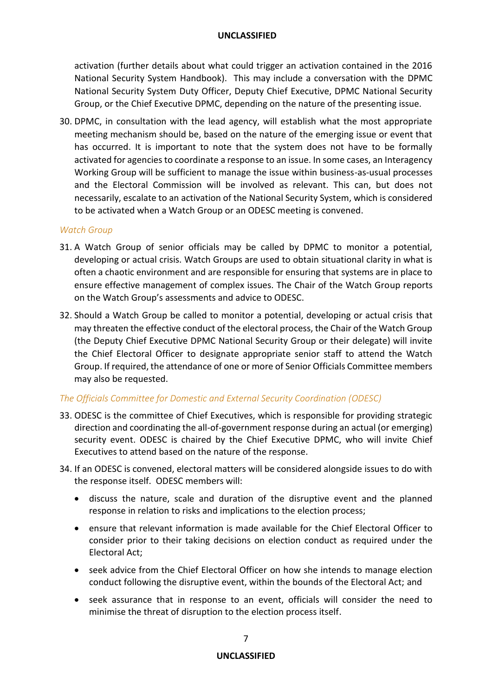activation (further details about what could trigger an activation contained in the 2016 National Security System Handbook). This may include a conversation with the DPMC National Security System Duty Officer, Deputy Chief Executive, DPMC National Security Group, or the Chief Executive DPMC, depending on the nature of the presenting issue.

30. DPMC, in consultation with the lead agency, will establish what the most appropriate meeting mechanism should be, based on the nature of the emerging issue or event that has occurred. It is important to note that the system does not have to be formally activated for agencies to coordinate a response to an issue. In some cases, an Interagency Working Group will be sufficient to manage the issue within business-as-usual processes and the Electoral Commission will be involved as relevant. This can, but does not necessarily, escalate to an activation of the National Security System, which is considered to be activated when a Watch Group or an ODESC meeting is convened.

#### *Watch Group*

- 31. A Watch Group of senior officials may be called by DPMC to monitor a potential, developing or actual crisis. Watch Groups are used to obtain situational clarity in what is often a chaotic environment and are responsible for ensuring that systems are in place to ensure effective management of complex issues. The Chair of the Watch Group reports on the Watch Group's assessments and advice to ODESC.
- 32. Should a Watch Group be called to monitor a potential, developing or actual crisis that may threaten the effective conduct of the electoral process, the Chair of the Watch Group (the Deputy Chief Executive DPMC National Security Group or their delegate) will invite the Chief Electoral Officer to designate appropriate senior staff to attend the Watch Group. If required, the attendance of one or more of Senior Officials Committee members may also be requested.

#### *The Officials Committee for Domestic and External Security Coordination (ODESC)*

- 33. ODESC is the committee of Chief Executives, which is responsible for providing strategic direction and coordinating the all-of-government response during an actual (or emerging) security event. ODESC is chaired by the Chief Executive DPMC, who will invite Chief Executives to attend based on the nature of the response.
- 34. If an ODESC is convened, electoral matters will be considered alongside issues to do with the response itself. ODESC members will:
	- discuss the nature, scale and duration of the disruptive event and the planned response in relation to risks and implications to the election process;
	- ensure that relevant information is made available for the Chief Electoral Officer to consider prior to their taking decisions on election conduct as required under the Electoral Act;
	- seek advice from the Chief Electoral Officer on how she intends to manage election conduct following the disruptive event, within the bounds of the Electoral Act; and
	- seek assurance that in response to an event, officials will consider the need to minimise the threat of disruption to the election process itself.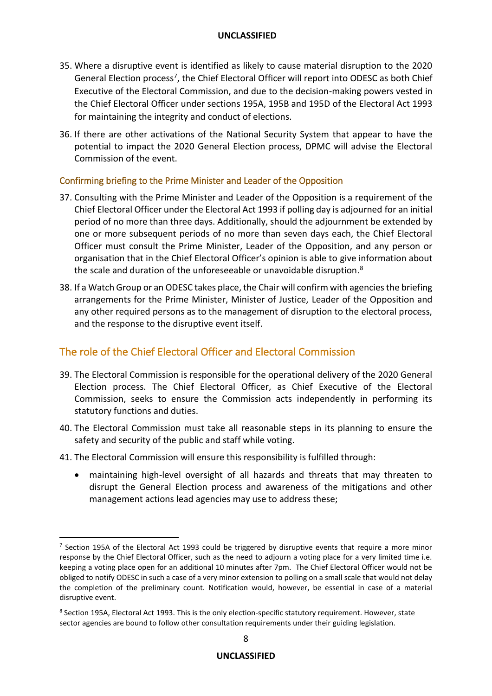- 35. Where a disruptive event is identified as likely to cause material disruption to the 2020 General Election process<sup>7</sup>, the Chief Electoral Officer will report into ODESC as both Chief Executive of the Electoral Commission, and due to the decision-making powers vested in the Chief Electoral Officer under sections 195A, 195B and 195D of the Electoral Act 1993 for maintaining the integrity and conduct of elections.
- 36. If there are other activations of the National Security System that appear to have the potential to impact the 2020 General Election process, DPMC will advise the Electoral Commission of the event.

#### Confirming briefing to the Prime Minister and Leader of the Opposition

- 37. Consulting with the Prime Minister and Leader of the Opposition is a requirement of the Chief Electoral Officer under the Electoral Act 1993 if polling day is adjourned for an initial period of no more than three days. Additionally, should the adjournment be extended by one or more subsequent periods of no more than seven days each, the Chief Electoral Officer must consult the Prime Minister, Leader of the Opposition, and any person or organisation that in the Chief Electoral Officer's opinion is able to give information about the scale and duration of the unforeseeable or unavoidable disruption.<sup>8</sup>
- 38. If a Watch Group or an ODESC takes place, the Chair will confirm with agencies the briefing arrangements for the Prime Minister, Minister of Justice, Leader of the Opposition and any other required persons as to the management of disruption to the electoral process, and the response to the disruptive event itself.

# The role of the Chief Electoral Officer and Electoral Commission

- 39. The Electoral Commission is responsible for the operational delivery of the 2020 General Election process. The Chief Electoral Officer, as Chief Executive of the Electoral Commission, seeks to ensure the Commission acts independently in performing its statutory functions and duties.
- 40. The Electoral Commission must take all reasonable steps in its planning to ensure the safety and security of the public and staff while voting.
- 41. The Electoral Commission will ensure this responsibility is fulfilled through:
	- maintaining high-level oversight of all hazards and threats that may threaten to disrupt the General Election process and awareness of the mitigations and other management actions lead agencies may use to address these;

 $^7$  Section 195A of the Electoral Act 1993 could be triggered by disruptive events that require a more minor response by the Chief Electoral Officer, such as the need to adjourn a voting place for a very limited time i.e. keeping a voting place open for an additional 10 minutes after 7pm. The Chief Electoral Officer would not be obliged to notify ODESC in such a case of a very minor extension to polling on a small scale that would not delay the completion of the preliminary count. Notification would, however, be essential in case of a material disruptive event.

<sup>&</sup>lt;sup>8</sup> Section 195A, Electoral Act 1993. This is the only election-specific statutory requirement. However, state sector agencies are bound to follow other consultation requirements under their guiding legislation.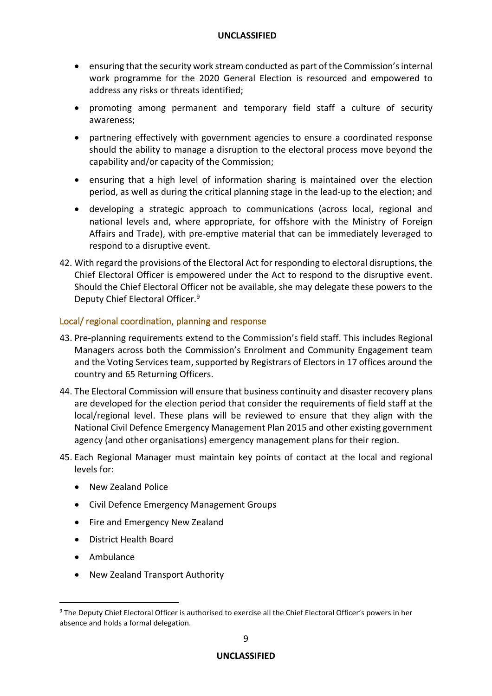- ensuring that the security work stream conducted as part of the Commission's internal work programme for the 2020 General Election is resourced and empowered to address any risks or threats identified;
- promoting among permanent and temporary field staff a culture of security awareness;
- partnering effectively with government agencies to ensure a coordinated response should the ability to manage a disruption to the electoral process move beyond the capability and/or capacity of the Commission;
- ensuring that a high level of information sharing is maintained over the election period, as well as during the critical planning stage in the lead-up to the election; and
- developing a strategic approach to communications (across local, regional and national levels and, where appropriate, for offshore with the Ministry of Foreign Affairs and Trade), with pre-emptive material that can be immediately leveraged to respond to a disruptive event.
- 42. With regard the provisions of the Electoral Act for responding to electoral disruptions, the Chief Electoral Officer is empowered under the Act to respond to the disruptive event. Should the Chief Electoral Officer not be available, she may delegate these powers to the Deputy Chief Electoral Officer.<sup>9</sup>

#### Local/ regional coordination, planning and response

- 43. Pre-planning requirements extend to the Commission's field staff. This includes Regional Managers across both the Commission's Enrolment and Community Engagement team and the Voting Services team, supported by Registrars of Electors in 17 offices around the country and 65 Returning Officers.
- 44. The Electoral Commission will ensure that business continuity and disaster recovery plans are developed for the election period that consider the requirements of field staff at the local/regional level. These plans will be reviewed to ensure that they align with the National Civil Defence Emergency Management Plan 2015 and other existing government agency (and other organisations) emergency management plans for their region.
- 45. Each Regional Manager must maintain key points of contact at the local and regional levels for:
	- New Zealand Police
	- Civil Defence Emergency Management Groups
	- Fire and Emergency New Zealand
	- District Health Board
	- Ambulance
	- New Zealand Transport Authority

<sup>9</sup> The Deputy Chief Electoral Officer is authorised to exercise all the Chief Electoral Officer's powers in her absence and holds a formal delegation.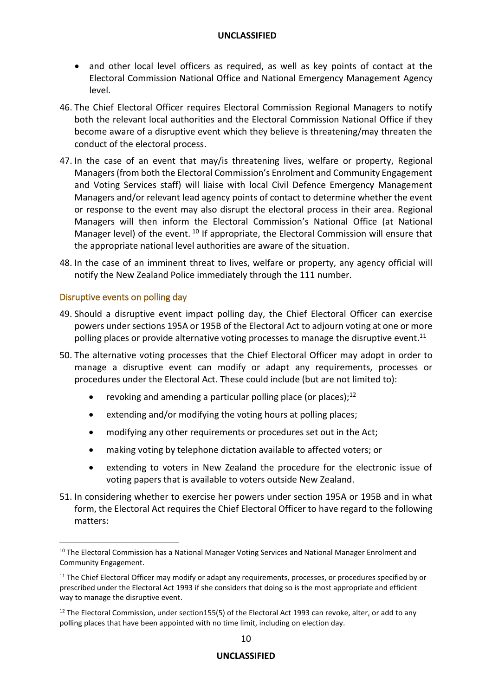- and other local level officers as required, as well as key points of contact at the Electoral Commission National Office and National Emergency Management Agency level.
- 46. The Chief Electoral Officer requires Electoral Commission Regional Managers to notify both the relevant local authorities and the Electoral Commission National Office if they become aware of a disruptive event which they believe is threatening/may threaten the conduct of the electoral process.
- 47. In the case of an event that may/is threatening lives, welfare or property, Regional Managers(from both the Electoral Commission's Enrolment and Community Engagement and Voting Services staff) will liaise with local Civil Defence Emergency Management Managers and/or relevant lead agency points of contact to determine whether the event or response to the event may also disrupt the electoral process in their area. Regional Managers will then inform the Electoral Commission's National Office (at National Manager level) of the event. <sup>10</sup> If appropriate, the Electoral Commission will ensure that the appropriate national level authorities are aware of the situation.
- 48. In the case of an imminent threat to lives, welfare or property, any agency official will notify the New Zealand Police immediately through the 111 number.

#### Disruptive events on polling day

- 49. Should a disruptive event impact polling day, the Chief Electoral Officer can exercise powers under sections 195A or 195B of the Electoral Act to adjourn voting at one or more polling places or provide alternative voting processes to manage the disruptive event.<sup>11</sup>
- 50. The alternative voting processes that the Chief Electoral Officer may adopt in order to manage a disruptive event can modify or adapt any requirements, processes or procedures under the Electoral Act. These could include (but are not limited to):
	- revoking and amending a particular polling place (or places);<sup>12</sup>
	- extending and/or modifying the voting hours at polling places;
	- modifying any other requirements or procedures set out in the Act;
	- making voting by telephone dictation available to affected voters; or
	- extending to voters in New Zealand the procedure for the electronic issue of voting papers that is available to voters outside New Zealand.
- 51. In considering whether to exercise her powers under section 195A or 195B and in what form, the Electoral Act requires the Chief Electoral Officer to have regard to the following matters:

<sup>&</sup>lt;sup>10</sup> The Electoral Commission has a National Manager Voting Services and National Manager Enrolment and Community Engagement.

<sup>&</sup>lt;sup>11</sup> The Chief Electoral Officer may modify or adapt any requirements, processes, or procedures specified by or prescribed under the Electoral Act 1993 if she considers that doing so is the most appropriate and efficient way to manage the disruptive event.

 $12$  The Electoral Commission, under section155(5) of the Electoral Act 1993 can revoke, alter, or add to any polling places that have been appointed with no time limit, including on election day.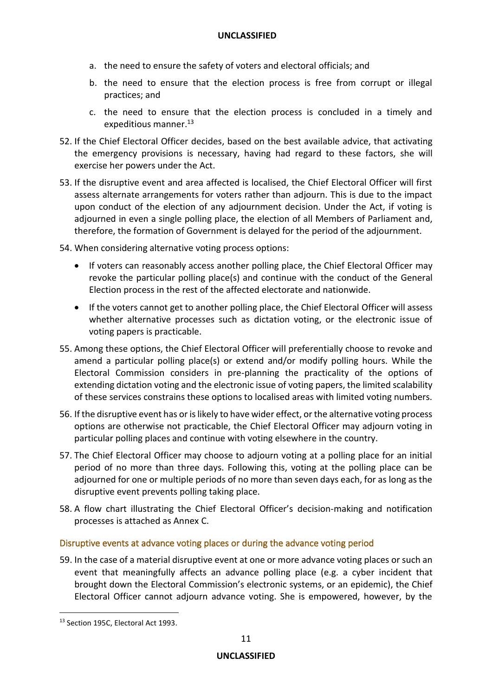- a. the need to ensure the safety of voters and electoral officials; and
- b. the need to ensure that the election process is free from corrupt or illegal practices; and
- c. the need to ensure that the election process is concluded in a timely and expeditious manner.<sup>13</sup>
- 52. If the Chief Electoral Officer decides, based on the best available advice, that activating the emergency provisions is necessary, having had regard to these factors, she will exercise her powers under the Act.
- 53. If the disruptive event and area affected is localised, the Chief Electoral Officer will first assess alternate arrangements for voters rather than adjourn. This is due to the impact upon conduct of the election of any adjournment decision. Under the Act, if voting is adjourned in even a single polling place, the election of all Members of Parliament and, therefore, the formation of Government is delayed for the period of the adjournment.
- 54. When considering alternative voting process options:
	- If voters can reasonably access another polling place, the Chief Electoral Officer may revoke the particular polling place(s) and continue with the conduct of the General Election process in the rest of the affected electorate and nationwide.
	- If the voters cannot get to another polling place, the Chief Electoral Officer will assess whether alternative processes such as dictation voting, or the electronic issue of voting papers is practicable.
- 55. Among these options, the Chief Electoral Officer will preferentially choose to revoke and amend a particular polling place(s) or extend and/or modify polling hours. While the Electoral Commission considers in pre-planning the practicality of the options of extending dictation voting and the electronic issue of voting papers, the limited scalability of these services constrains these options to localised areas with limited voting numbers.
- 56. If the disruptive event has or is likely to have wider effect, or the alternative voting process options are otherwise not practicable, the Chief Electoral Officer may adjourn voting in particular polling places and continue with voting elsewhere in the country.
- 57. The Chief Electoral Officer may choose to adjourn voting at a polling place for an initial period of no more than three days. Following this, voting at the polling place can be adjourned for one or multiple periods of no more than seven days each, for as long as the disruptive event prevents polling taking place.
- 58. A flow chart illustrating the Chief Electoral Officer's decision-making and notification processes is attached as Annex C.

#### Disruptive events at advance voting places or during the advance voting period

59. In the case of a material disruptive event at one or more advance voting places or such an event that meaningfully affects an advance polling place (e.g. a cyber incident that brought down the Electoral Commission's electronic systems, or an epidemic), the Chief Electoral Officer cannot adjourn advance voting. She is empowered, however, by the

<sup>&</sup>lt;sup>13</sup> Section 195C, Electoral Act 1993.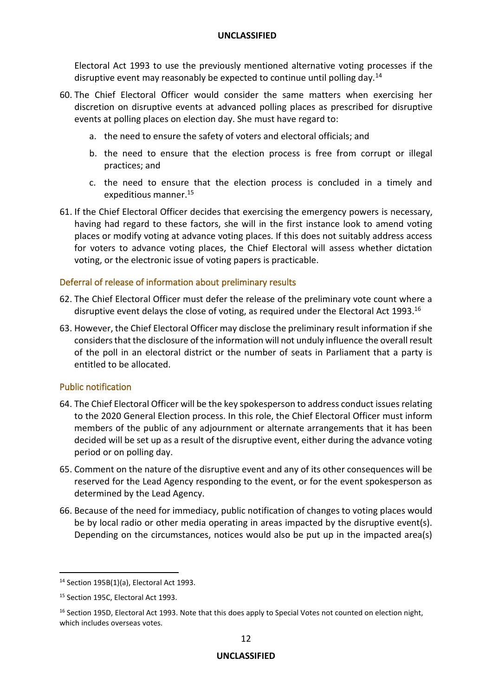Electoral Act 1993 to use the previously mentioned alternative voting processes if the disruptive event may reasonably be expected to continue until polling day.<sup>14</sup>

- 60. The Chief Electoral Officer would consider the same matters when exercising her discretion on disruptive events at advanced polling places as prescribed for disruptive events at polling places on election day. She must have regard to:
	- a. the need to ensure the safety of voters and electoral officials; and
	- b. the need to ensure that the election process is free from corrupt or illegal practices; and
	- c. the need to ensure that the election process is concluded in a timely and expeditious manner.<sup>15</sup>
- 61. If the Chief Electoral Officer decides that exercising the emergency powers is necessary, having had regard to these factors, she will in the first instance look to amend voting places or modify voting at advance voting places. If this does not suitably address access for voters to advance voting places, the Chief Electoral will assess whether dictation voting, or the electronic issue of voting papers is practicable.

#### Deferral of release of information about preliminary results

- 62. The Chief Electoral Officer must defer the release of the preliminary vote count where a disruptive event delays the close of voting, as required under the Electoral Act 1993. 16
- 63. However, the Chief Electoral Officer may disclose the preliminary result information if she considers that the disclosure of the information will not unduly influence the overall result of the poll in an electoral district or the number of seats in Parliament that a party is entitled to be allocated.

#### Public notification

- 64. The Chief Electoral Officer will be the key spokesperson to address conduct issues relating to the 2020 General Election process. In this role, the Chief Electoral Officer must inform members of the public of any adjournment or alternate arrangements that it has been decided will be set up as a result of the disruptive event, either during the advance voting period or on polling day.
- 65. Comment on the nature of the disruptive event and any of its other consequences will be reserved for the Lead Agency responding to the event, or for the event spokesperson as determined by the Lead Agency.
- 66. Because of the need for immediacy, public notification of changes to voting places would be by local radio or other media operating in areas impacted by the disruptive event(s). Depending on the circumstances, notices would also be put up in the impacted area(s)

<sup>14</sup> Section 195B(1)(a), Electoral Act 1993.

<sup>&</sup>lt;sup>15</sup> Section 195C, Electoral Act 1993.

<sup>&</sup>lt;sup>16</sup> Section 195D, Electoral Act 1993. Note that this does apply to Special Votes not counted on election night, which includes overseas votes.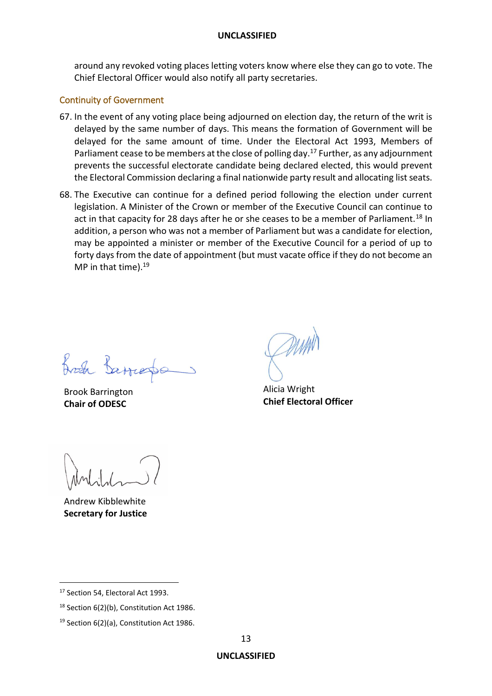around any revoked voting places letting voters know where else they can go to vote. The Chief Electoral Officer would also notify all party secretaries.

#### Continuity of Government

- 67. In the event of any voting place being adjourned on election day, the return of the writ is delayed by the same number of days. This means the formation of Government will be delayed for the same amount of time. Under the Electoral Act 1993, Members of Parliament cease to be members at the close of polling day.<sup>17</sup> Further, as any adjournment prevents the successful electorate candidate being declared elected, this would prevent the Electoral Commission declaring a final nationwide party result and allocating list seats.
- 68. The Executive can continue for a defined period following the election under current legislation. A Minister of the Crown or member of the Executive Council can continue to act in that capacity for 28 days after he or she ceases to be a member of Parliament.<sup>18</sup> In addition, a person who was not a member of Parliament but was a candidate for election, may be appointed a minister or member of the Executive Council for a period of up to forty days from the date of appointment (but must vacate office if they do not become an MP in that time). $19$

Fred Barret

Brook Barrington **Chair of ODESC**

Alicia Wright **Chief Electoral Officer**

Andrew Kibblewhite **Secretary for Justice**

<sup>&</sup>lt;sup>17</sup> Section 54, Electoral Act 1993.

<sup>&</sup>lt;sup>18</sup> Section 6(2)(b), Constitution Act 1986.

 $19$  Section 6(2)(a), Constitution Act 1986.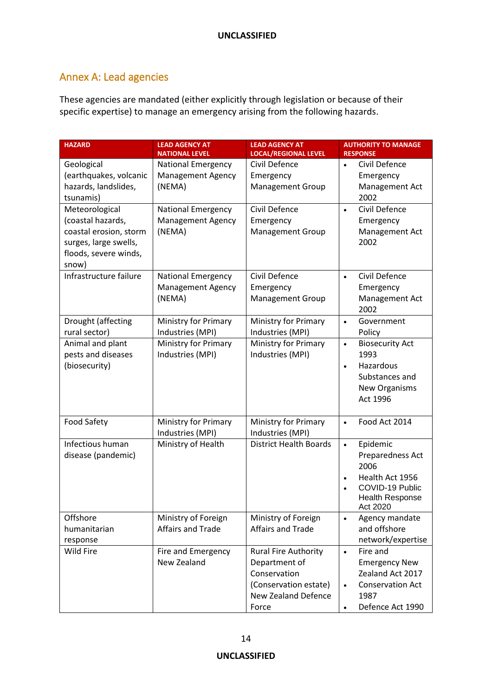# Annex A: Lead agencies

These agencies are mandated (either explicitly through legislation or because of their specific expertise) to manage an emergency arising from the following hazards.

| <b>HAZARD</b>                                  | <b>LEAD AGENCY AT</b><br><b>NATIONAL LEVEL</b> | <b>LEAD AGENCY AT</b><br><b>LOCAL/REGIONAL LEVEL</b> | <b>AUTHORITY TO MANAGE</b><br><b>RESPONSE</b> |
|------------------------------------------------|------------------------------------------------|------------------------------------------------------|-----------------------------------------------|
| Geological                                     | <b>National Emergency</b>                      | Civil Defence                                        | Civil Defence<br>$\bullet$                    |
| (earthquakes, volcanic                         | <b>Management Agency</b>                       | Emergency                                            | Emergency                                     |
| hazards, landslides,                           | (NEMA)                                         | <b>Management Group</b>                              | Management Act                                |
| tsunamis)                                      |                                                |                                                      | 2002                                          |
| Meteorological                                 | <b>National Emergency</b>                      | Civil Defence                                        | Civil Defence<br>$\bullet$                    |
| (coastal hazards,                              | Management Agency                              | Emergency                                            | Emergency                                     |
| coastal erosion, storm                         | (NEMA)                                         | <b>Management Group</b>                              | Management Act                                |
| surges, large swells,<br>floods, severe winds, |                                                |                                                      | 2002                                          |
| snow)                                          |                                                |                                                      |                                               |
| Infrastructure failure                         | <b>National Emergency</b>                      | Civil Defence                                        | Civil Defence<br>$\bullet$                    |
|                                                | <b>Management Agency</b>                       | Emergency                                            | Emergency                                     |
|                                                | (NEMA)                                         | <b>Management Group</b>                              | Management Act                                |
|                                                |                                                |                                                      | 2002                                          |
| Drought (affecting                             | Ministry for Primary                           | <b>Ministry for Primary</b>                          | Government<br>$\bullet$                       |
| rural sector)                                  | Industries (MPI)                               | Industries (MPI)                                     | Policy                                        |
| Animal and plant                               | Ministry for Primary                           | Ministry for Primary                                 | <b>Biosecurity Act</b><br>$\bullet$           |
| pests and diseases                             | Industries (MPI)                               | Industries (MPI)                                     | 1993                                          |
| (biosecurity)                                  |                                                |                                                      | Hazardous<br>$\bullet$                        |
|                                                |                                                |                                                      | Substances and                                |
|                                                |                                                |                                                      | New Organisms                                 |
|                                                |                                                |                                                      | Act 1996                                      |
| Food Safety                                    | Ministry for Primary                           | <b>Ministry for Primary</b>                          | Food Act 2014<br>$\bullet$                    |
|                                                | Industries (MPI)                               | Industries (MPI)                                     |                                               |
| Infectious human                               | Ministry of Health                             | <b>District Health Boards</b>                        | Epidemic<br>$\bullet$                         |
| disease (pandemic)                             |                                                |                                                      | Preparedness Act                              |
|                                                |                                                |                                                      | 2006                                          |
|                                                |                                                |                                                      | Health Act 1956                               |
|                                                |                                                |                                                      | COVID-19 Public                               |
|                                                |                                                |                                                      | <b>Health Response</b><br>Act 2020            |
| Offshore                                       | Ministry of Foreign                            | Ministry of Foreign                                  | Agency mandate<br>$\bullet$                   |
| humanitarian                                   | Affairs and Trade                              | Affairs and Trade                                    | and offshore                                  |
| response                                       |                                                |                                                      | network/expertise                             |
| Wild Fire                                      | Fire and Emergency                             | <b>Rural Fire Authority</b>                          | Fire and<br>$\bullet$                         |
|                                                | New Zealand                                    | Department of                                        | <b>Emergency New</b>                          |
|                                                |                                                | Conservation                                         | Zealand Act 2017                              |
|                                                |                                                | (Conservation estate)                                | <b>Conservation Act</b><br>$\bullet$          |
|                                                |                                                | New Zealand Defence                                  | 1987                                          |
|                                                |                                                | Force                                                | Defence Act 1990                              |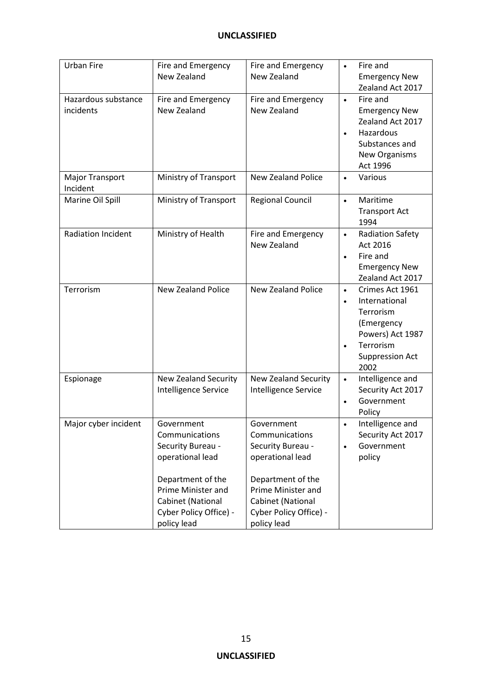| <b>Urban Fire</b>                  | Fire and Emergency<br>New Zealand                                                                                                                                              | Fire and Emergency<br>New Zealand                                                                                                                                                     | Fire and<br>$\bullet$                                                                                                                                    |
|------------------------------------|--------------------------------------------------------------------------------------------------------------------------------------------------------------------------------|---------------------------------------------------------------------------------------------------------------------------------------------------------------------------------------|----------------------------------------------------------------------------------------------------------------------------------------------------------|
|                                    |                                                                                                                                                                                |                                                                                                                                                                                       | <b>Emergency New</b><br>Zealand Act 2017                                                                                                                 |
| Hazardous substance<br>incidents   | Fire and Emergency<br>New Zealand                                                                                                                                              | Fire and Emergency<br>New Zealand                                                                                                                                                     | Fire and<br>$\bullet$<br><b>Emergency New</b><br>Zealand Act 2017<br>Hazardous<br>Substances and<br>New Organisms<br>Act 1996                            |
| <b>Major Transport</b><br>Incident | Ministry of Transport                                                                                                                                                          | <b>New Zealand Police</b>                                                                                                                                                             | Various                                                                                                                                                  |
| Marine Oil Spill                   | Ministry of Transport                                                                                                                                                          | <b>Regional Council</b>                                                                                                                                                               | Maritime<br>$\bullet$<br><b>Transport Act</b><br>1994                                                                                                    |
| <b>Radiation Incident</b>          | Ministry of Health                                                                                                                                                             | Fire and Emergency<br>New Zealand                                                                                                                                                     | <b>Radiation Safety</b><br>$\bullet$<br>Act 2016<br>Fire and<br>$\bullet$<br><b>Emergency New</b><br>Zealand Act 2017                                    |
| Terrorism                          | <b>New Zealand Police</b>                                                                                                                                                      | <b>New Zealand Police</b>                                                                                                                                                             | Crimes Act 1961<br>$\bullet$<br>International<br>$\bullet$<br>Terrorism<br>(Emergency<br>Powers) Act 1987<br>Terrorism<br><b>Suppression Act</b><br>2002 |
| Espionage                          | <b>New Zealand Security</b><br>Intelligence Service                                                                                                                            | <b>New Zealand Security</b><br>Intelligence Service                                                                                                                                   | Intelligence and<br>$\bullet$<br>Security Act 2017<br>Government<br>Policy                                                                               |
| Major cyber incident               | Government<br>Communications<br>Security Bureau -<br>operational lead<br>Department of the<br>Prime Minister and<br>Cabinet (National<br>Cyber Policy Office) -<br>policy lead | Government<br>Communications<br>Security Bureau -<br>operational lead<br>Department of the<br><b>Prime Minister and</b><br>Cabinet (National<br>Cyber Policy Office) -<br>policy lead | Intelligence and<br>$\bullet$<br>Security Act 2017<br>Government<br>policy                                                                               |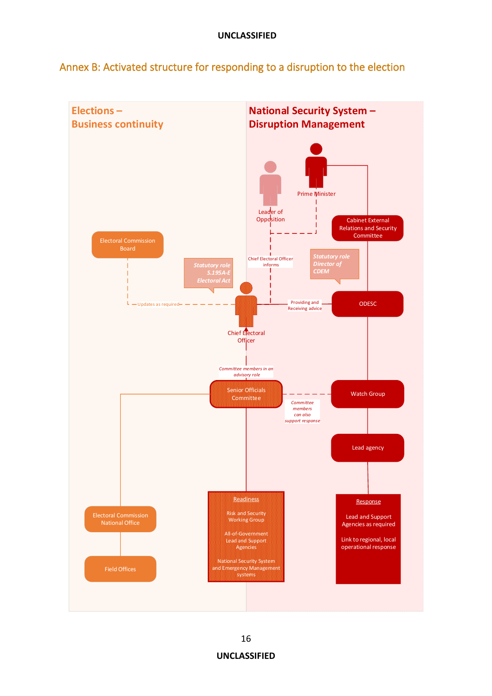Annex B: Activated structure for responding to a disruption to the election